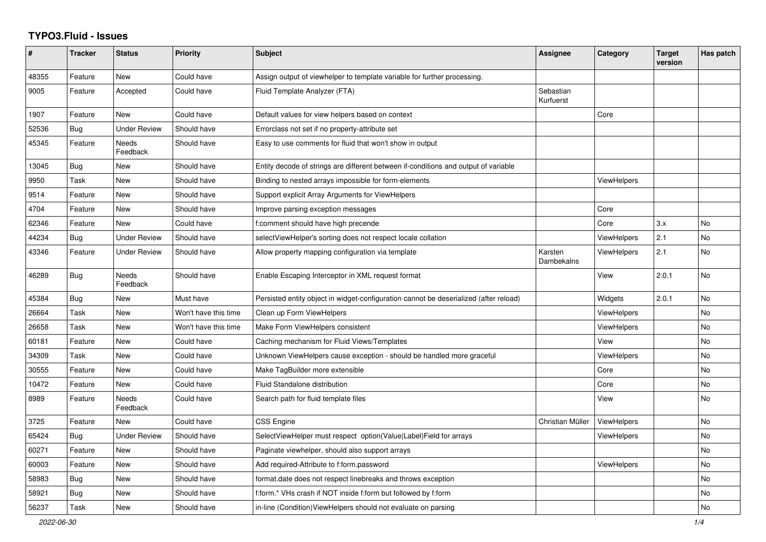## **TYPO3.Fluid - Issues**

| $\#$  | <b>Tracker</b> | <b>Status</b>       | <b>Priority</b>      | <b>Subject</b>                                                                        | Assignee               | Category           | <b>Target</b><br>version | Has patch      |
|-------|----------------|---------------------|----------------------|---------------------------------------------------------------------------------------|------------------------|--------------------|--------------------------|----------------|
| 48355 | Feature        | New                 | Could have           | Assign output of viewhelper to template variable for further processing.              |                        |                    |                          |                |
| 9005  | Feature        | Accepted            | Could have           | Fluid Template Analyzer (FTA)                                                         | Sebastian<br>Kurfuerst |                    |                          |                |
| 1907  | Feature        | <b>New</b>          | Could have           | Default values for view helpers based on context                                      |                        | Core               |                          |                |
| 52536 | Bug            | <b>Under Review</b> | Should have          | Errorclass not set if no property-attribute set                                       |                        |                    |                          |                |
| 45345 | Feature        | Needs<br>Feedback   | Should have          | Easy to use comments for fluid that won't show in output                              |                        |                    |                          |                |
| 13045 | Bug            | New                 | Should have          | Entity decode of strings are different between if-conditions and output of variable   |                        |                    |                          |                |
| 9950  | Task           | New                 | Should have          | Binding to nested arrays impossible for form-elements                                 |                        | <b>ViewHelpers</b> |                          |                |
| 9514  | Feature        | New                 | Should have          | Support explicit Array Arguments for ViewHelpers                                      |                        |                    |                          |                |
| 4704  | Feature        | New                 | Should have          | Improve parsing exception messages                                                    |                        | Core               |                          |                |
| 62346 | Feature        | New                 | Could have           | f:comment should have high precende                                                   |                        | Core               | 3.x                      | <b>No</b>      |
| 44234 | Bug            | <b>Under Review</b> | Should have          | selectViewHelper's sorting does not respect locale collation                          |                        | <b>ViewHelpers</b> | 2.1                      | <b>No</b>      |
| 43346 | Feature        | <b>Under Review</b> | Should have          | Allow property mapping configuration via template                                     | Karsten<br>Dambekalns  | <b>ViewHelpers</b> | 2.1                      | <b>No</b>      |
| 46289 | Bug            | Needs<br>Feedback   | Should have          | Enable Escaping Interceptor in XML request format                                     |                        | View               | 2.0.1                    | No             |
| 45384 | Bug            | New                 | Must have            | Persisted entity object in widget-configuration cannot be deserialized (after reload) |                        | Widgets            | 2.0.1                    | N <sub>o</sub> |
| 26664 | Task           | New                 | Won't have this time | Clean up Form ViewHelpers                                                             |                        | ViewHelpers        |                          | No             |
| 26658 | Task           | New                 | Won't have this time | Make Form ViewHelpers consistent                                                      |                        | ViewHelpers        |                          | No             |
| 60181 | Feature        | <b>New</b>          | Could have           | Caching mechanism for Fluid Views/Templates                                           |                        | View               |                          | <b>No</b>      |
| 34309 | Task           | <b>New</b>          | Could have           | Unknown ViewHelpers cause exception - should be handled more graceful                 |                        | ViewHelpers        |                          | <b>No</b>      |
| 30555 | Feature        | <b>New</b>          | Could have           | Make TagBuilder more extensible                                                       |                        | Core               |                          | <b>No</b>      |
| 10472 | Feature        | New                 | Could have           | Fluid Standalone distribution                                                         |                        | Core               |                          | No             |
| 8989  | Feature        | Needs<br>Feedback   | Could have           | Search path for fluid template files                                                  |                        | View               |                          | No             |
| 3725  | Feature        | <b>New</b>          | Could have           | <b>CSS Engine</b>                                                                     | Christian Müller       | ViewHelpers        |                          | <b>No</b>      |
| 65424 | Bug            | <b>Under Review</b> | Should have          | SelectViewHelper must respect option(Value Label)Field for arrays                     |                        | ViewHelpers        |                          | No             |
| 60271 | Feature        | New                 | Should have          | Paginate viewhelper, should also support arrays                                       |                        |                    |                          | No             |
| 60003 | Feature        | <b>New</b>          | Should have          | Add required-Attribute to f:form.password                                             |                        | <b>ViewHelpers</b> |                          | No             |
| 58983 | Bug            | New                 | Should have          | format.date does not respect linebreaks and throws exception                          |                        |                    |                          | <b>No</b>      |
| 58921 | <b>Bug</b>     | New                 | Should have          | f:form.* VHs crash if NOT inside f:form but followed by f:form                        |                        |                    |                          | No             |
| 56237 | Task           | New                 | Should have          | in-line (Condition) View Helpers should not evaluate on parsing                       |                        |                    |                          | No             |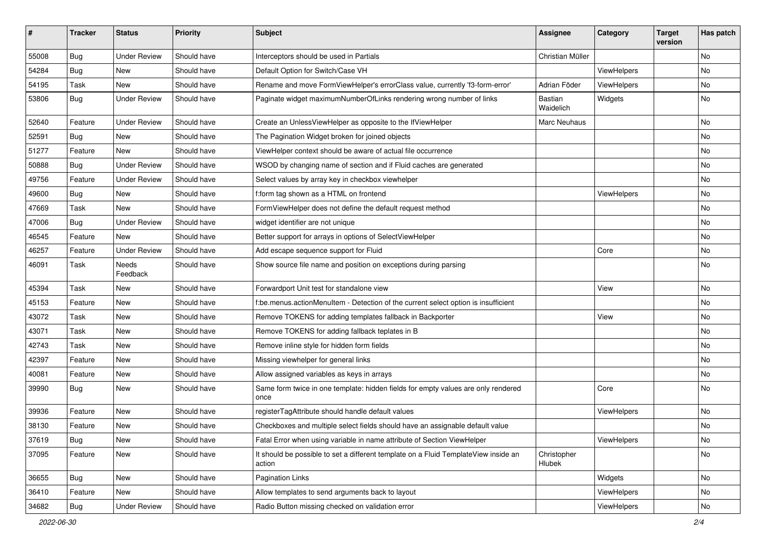| #     | <b>Tracker</b> | <b>Status</b>       | <b>Priority</b> | Subject                                                                                       | Assignee              | Category    | <b>Target</b><br>version | Has patch |
|-------|----------------|---------------------|-----------------|-----------------------------------------------------------------------------------------------|-----------------------|-------------|--------------------------|-----------|
| 55008 | Bug            | <b>Under Review</b> | Should have     | Interceptors should be used in Partials                                                       | Christian Müller      |             |                          | <b>No</b> |
| 54284 | <b>Bug</b>     | New                 | Should have     | Default Option for Switch/Case VH                                                             |                       | ViewHelpers |                          | No        |
| 54195 | Task           | <b>New</b>          | Should have     | Rename and move FormViewHelper's errorClass value, currently 'f3-form-error'                  | Adrian Föder          | ViewHelpers |                          | No        |
| 53806 | Bug            | <b>Under Review</b> | Should have     | Paginate widget maximumNumberOfLinks rendering wrong number of links                          | Bastian<br>Waidelich  | Widgets     |                          | No        |
| 52640 | Feature        | <b>Under Review</b> | Should have     | Create an UnlessViewHelper as opposite to the IfViewHelper                                    | Marc Neuhaus          |             |                          | <b>No</b> |
| 52591 | Bug            | New                 | Should have     | The Pagination Widget broken for joined objects                                               |                       |             |                          | No        |
| 51277 | Feature        | <b>New</b>          | Should have     | ViewHelper context should be aware of actual file occurrence                                  |                       |             |                          | No        |
| 50888 | Bug            | <b>Under Review</b> | Should have     | WSOD by changing name of section and if Fluid caches are generated                            |                       |             |                          | No        |
| 49756 | Feature        | <b>Under Review</b> | Should have     | Select values by array key in checkbox viewhelper                                             |                       |             |                          | No        |
| 49600 | Bug            | New                 | Should have     | f:form tag shown as a HTML on frontend                                                        |                       | ViewHelpers |                          | No        |
| 47669 | Task           | New                 | Should have     | FormViewHelper does not define the default request method                                     |                       |             |                          | No        |
| 47006 | Bug            | <b>Under Review</b> | Should have     | widget identifier are not unique                                                              |                       |             |                          | No        |
| 46545 | Feature        | New                 | Should have     | Better support for arrays in options of SelectViewHelper                                      |                       |             |                          | No        |
| 46257 | Feature        | <b>Under Review</b> | Should have     | Add escape sequence support for Fluid                                                         |                       | Core        |                          | No        |
| 46091 | Task           | Needs<br>Feedback   | Should have     | Show source file name and position on exceptions during parsing                               |                       |             |                          | No        |
| 45394 | Task           | New                 | Should have     | Forwardport Unit test for standalone view                                                     |                       | View        |                          | No        |
| 45153 | Feature        | New                 | Should have     | f:be.menus.actionMenuItem - Detection of the current select option is insufficient            |                       |             |                          | <b>No</b> |
| 43072 | Task           | New                 | Should have     | Remove TOKENS for adding templates fallback in Backporter                                     |                       | View        |                          | No        |
| 43071 | Task           | New                 | Should have     | Remove TOKENS for adding fallback teplates in B                                               |                       |             |                          | No        |
| 42743 | Task           | <b>New</b>          | Should have     | Remove inline style for hidden form fields                                                    |                       |             |                          | No        |
| 42397 | Feature        | New                 | Should have     | Missing viewhelper for general links                                                          |                       |             |                          | No        |
| 40081 | Feature        | <b>New</b>          | Should have     | Allow assigned variables as keys in arrays                                                    |                       |             |                          | No        |
| 39990 | <b>Bug</b>     | New                 | Should have     | Same form twice in one template: hidden fields for empty values are only rendered<br>once     |                       | Core        |                          | No        |
| 39936 | Feature        | <b>New</b>          | Should have     | registerTagAttribute should handle default values                                             |                       | ViewHelpers |                          | <b>No</b> |
| 38130 | Feature        | New                 | Should have     | Checkboxes and multiple select fields should have an assignable default value                 |                       |             |                          | No        |
| 37619 | <b>Bug</b>     | New                 | Should have     | Fatal Error when using variable in name attribute of Section ViewHelper                       |                       | ViewHelpers |                          | No        |
| 37095 | Feature        | New                 | Should have     | It should be possible to set a different template on a Fluid TemplateView inside an<br>action | Christopher<br>Hlubek |             |                          | No        |
| 36655 | Bug            | New                 | Should have     | <b>Pagination Links</b>                                                                       |                       | Widgets     |                          | No        |
| 36410 | Feature        | New                 | Should have     | Allow templates to send arguments back to layout                                              |                       | ViewHelpers |                          | No        |
| 34682 | <b>Bug</b>     | <b>Under Review</b> | Should have     | Radio Button missing checked on validation error                                              |                       | ViewHelpers |                          | No        |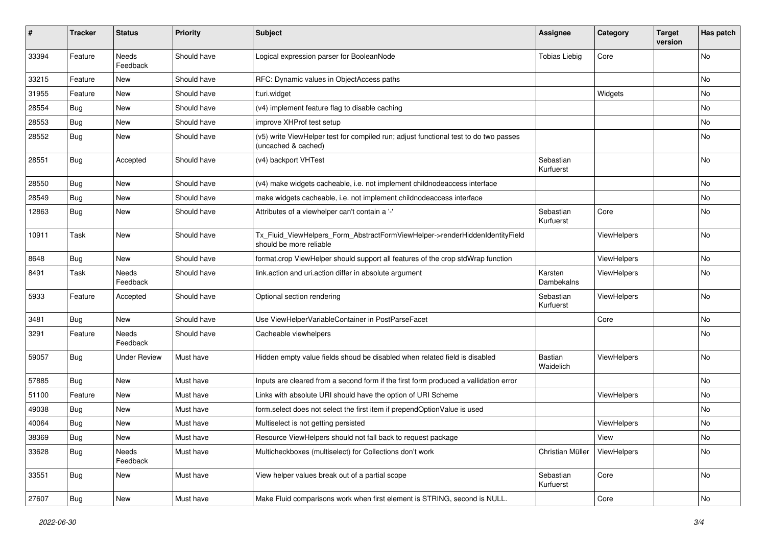| $\vert$ # | <b>Tracker</b> | <b>Status</b>       | <b>Priority</b> | <b>Subject</b>                                                                                              | <b>Assignee</b>        | Category           | <b>Target</b><br>version | Has patch |
|-----------|----------------|---------------------|-----------------|-------------------------------------------------------------------------------------------------------------|------------------------|--------------------|--------------------------|-----------|
| 33394     | Feature        | Needs<br>Feedback   | Should have     | Logical expression parser for BooleanNode                                                                   | <b>Tobias Liebig</b>   | Core               |                          | No        |
| 33215     | Feature        | New                 | Should have     | RFC: Dynamic values in ObjectAccess paths                                                                   |                        |                    |                          | No        |
| 31955     | Feature        | New                 | Should have     | f:uri.widget                                                                                                |                        | Widgets            |                          | No        |
| 28554     | Bug            | New                 | Should have     | (v4) implement feature flag to disable caching                                                              |                        |                    |                          | No        |
| 28553     | <b>Bug</b>     | New                 | Should have     | improve XHProf test setup                                                                                   |                        |                    |                          | No        |
| 28552     | Bug            | New                 | Should have     | (v5) write ViewHelper test for compiled run; adjust functional test to do two passes<br>(uncached & cached) |                        |                    |                          | No        |
| 28551     | <b>Bug</b>     | Accepted            | Should have     | (v4) backport VHTest                                                                                        | Sebastian<br>Kurfuerst |                    |                          | No        |
| 28550     | Bug            | New                 | Should have     | (v4) make widgets cacheable, i.e. not implement childnodeaccess interface                                   |                        |                    |                          | No        |
| 28549     | Bug            | New                 | Should have     | make widgets cacheable, i.e. not implement childnodeaccess interface                                        |                        |                    |                          | No        |
| 12863     | <b>Bug</b>     | New                 | Should have     | Attributes of a viewhelper can't contain a '-'                                                              | Sebastian<br>Kurfuerst | Core               |                          | No        |
| 10911     | Task           | New                 | Should have     | Tx_Fluid_ViewHelpers_Form_AbstractFormViewHelper->renderHiddenIdentityField<br>should be more reliable      |                        | ViewHelpers        |                          | No        |
| 8648      | <b>Bug</b>     | New                 | Should have     | format.crop ViewHelper should support all features of the crop stdWrap function                             |                        | ViewHelpers        |                          | No        |
| 8491      | Task           | Needs<br>Feedback   | Should have     | link.action and uri.action differ in absolute argument                                                      | Karsten<br>Dambekalns  | <b>ViewHelpers</b> |                          | No        |
| 5933      | Feature        | Accepted            | Should have     | Optional section rendering                                                                                  | Sebastian<br>Kurfuerst | ViewHelpers        |                          | No        |
| 3481      | Bug            | New                 | Should have     | Use ViewHelperVariableContainer in PostParseFacet                                                           |                        | Core               |                          | No        |
| 3291      | Feature        | Needs<br>Feedback   | Should have     | Cacheable viewhelpers                                                                                       |                        |                    |                          | No        |
| 59057     | <b>Bug</b>     | <b>Under Review</b> | Must have       | Hidden empty value fields shoud be disabled when related field is disabled                                  | Bastian<br>Waidelich   | ViewHelpers        |                          | <b>No</b> |
| 57885     | Bug            | New                 | Must have       | Inputs are cleared from a second form if the first form produced a vallidation error                        |                        |                    |                          | No        |
| 51100     | Feature        | New                 | Must have       | Links with absolute URI should have the option of URI Scheme                                                |                        | ViewHelpers        |                          | No        |
| 49038     | <b>Bug</b>     | New                 | Must have       | form.select does not select the first item if prependOptionValue is used                                    |                        |                    |                          | No        |
| 40064     | Bug            | New                 | Must have       | Multiselect is not getting persisted                                                                        |                        | ViewHelpers        |                          | No        |
| 38369     | <b>Bug</b>     | New                 | Must have       | Resource ViewHelpers should not fall back to request package                                                |                        | View               |                          | No        |
| 33628     | Bug            | Needs<br>Feedback   | Must have       | Multicheckboxes (multiselect) for Collections don't work                                                    | Christian Müller       | ViewHelpers        |                          | No        |
| 33551     | Bug            | New                 | Must have       | View helper values break out of a partial scope                                                             | Sebastian<br>Kurfuerst | Core               |                          | No        |
| 27607     | <b>Bug</b>     | New                 | Must have       | Make Fluid comparisons work when first element is STRING, second is NULL.                                   |                        | Core               |                          | No        |